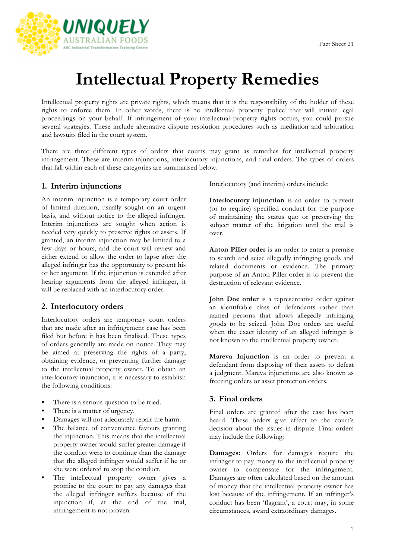

# **Intellectual Property Remedies**

Intellectual property rights are private rights, which means that it is the responsibility of the holder of these rights to enforce them. In other words, there is no intellectual property 'police' that will initiate legal proceedings on your behalf. If infringement of your intellectual property rights occurs, you could pursue several strategies. These include alternative dispute resolution procedures such as mediation and arbitration and lawsuits filed in the court system.

There are three different types of orders that courts may grant as remedies for intellectual property infringement. These are interim injunctions, interlocutory injunctions, and final orders. The types of orders that fall within each of these categories are summarised below.

#### **1. Interim injunctions**

An interim injunction is a temporary court order of limited duration, usually sought on an urgent basis, and without notice to the alleged infringer. Interim injunctions are sought when action is needed very quickly to preserve rights or assets. If granted, an interim injunction may be limited to a few days or hours, and the court will review and either extend or allow the order to lapse after the alleged infringer has the opportunity to present his or her argument. If the injunction is extended after hearing arguments from the alleged infringer, it will be replaced with an interlocutory order.

### **2. Interlocutory orders**

Interlocutory orders are temporary court orders that are made after an infringement case has been filed but before it has been finalised. These types of orders generally are made on notice. They may be aimed at preserving the rights of a party, obtaining evidence, or preventing further damage to the intellectual property owner. To obtain an interlocutory injunction, it is necessary to establish the following conditions:

- There is a serious question to be tried.
- There is a matter of urgency.
- Damages will not adequately repair the harm.
- The balance of convenience favours granting the injunction. This means that the intellectual property owner would suffer greater damage if the conduct were to continue than the damage that the alleged infringer would suffer if he or she were ordered to stop the conduct.
- The intellectual property owner gives a promise to the court to pay any damages that the alleged infringer suffers because of the injunction if, at the end of the trial, infringement is not proven.

Interlocutory (and interim) orders include:

**Interlocutory injunction** is an order to prevent (or to require) specified conduct for the purpose of maintaining the status quo or preserving the subject matter of the litigation until the trial is over.

**Anton Piller order** is an order to enter a premise to search and seize allegedly infringing goods and related documents or evidence. The primary purpose of an Anton Piller order is to prevent the destruction of relevant evidence.

**John Doe order** is a representative order against an identifiable class of defendants rather than named persons that allows allegedly infringing goods to be seized. John Doe orders are useful when the exact identity of an alleged infringer is not known to the intellectual property owner.

**Mareva Injunction** is an order to prevent a defendant from disposing of their assets to defeat a judgment. Mareva injunctions are also known as freezing orders or asset protection orders.

### **3. Final orders**

Final orders are granted after the case has been heard. These orders give effect to the court's decision about the issues in dispute. Final orders may include the following:

**Damages:** Orders for damages require the infringer to pay money to the intellectual property owner to compensate for the infringement. Damages are often calculated based on the amount of money that the intellectual property owner has lost because of the infringement. If an infringer's conduct has been 'flagrant', a court may, in some circumstances, award extraordinary damages.